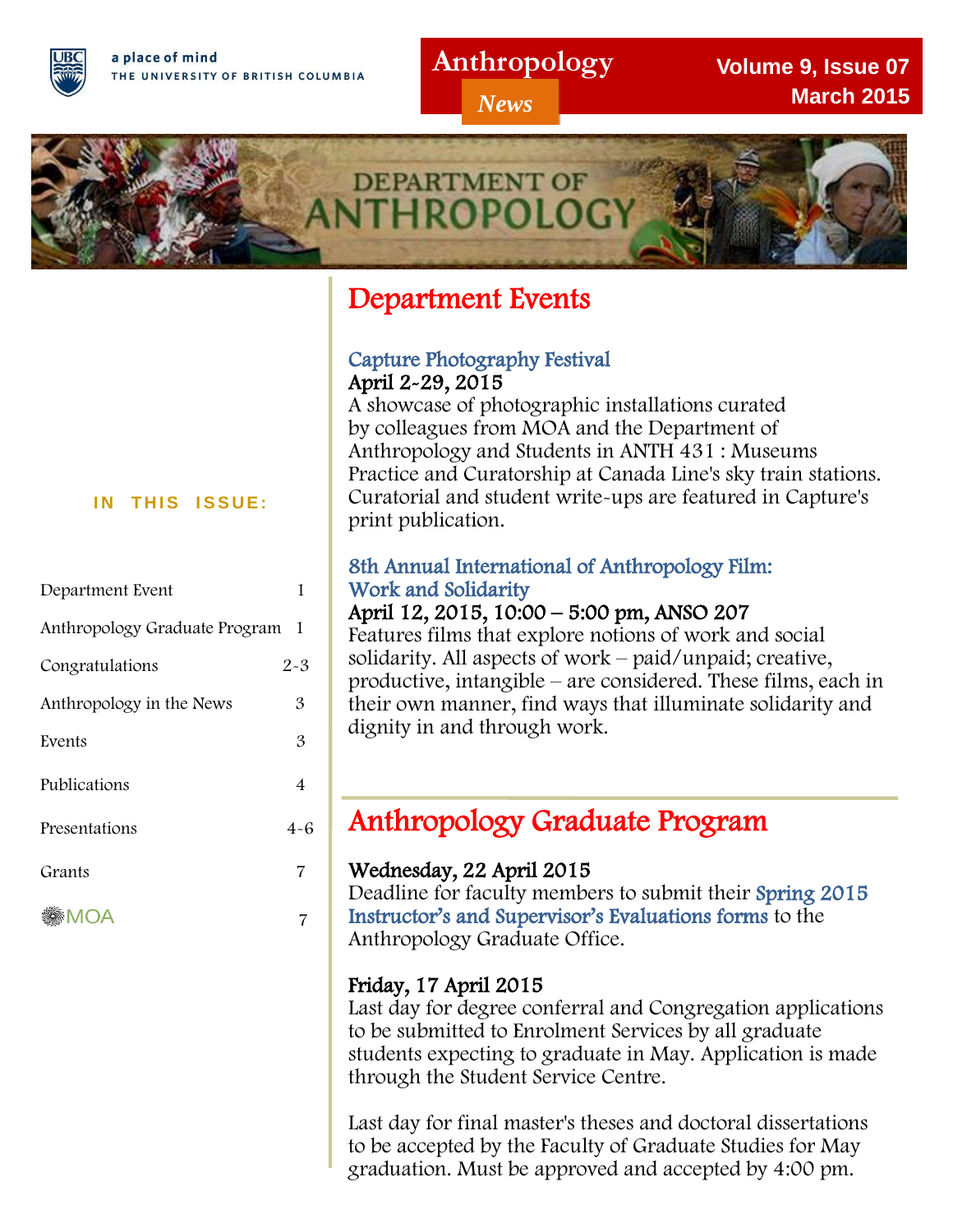a place of mind THE UNIVERSITY OF BRITISH COLUMBIA

I

## **Anthropology**

*News*

**Volume 9, Issue 07 March 2015**



# Department Events

## Capture Photography Festival April 2-29, 2015

A showcase of photographic installations curated by colleagues from MOA and the Department of Anthropology and Students in ANTH 431 : Museums Practice and Curatorship at Canada Line's sky train stations. Curatorial and student write-ups are featured in Capture's print publication.

## 8th Annual International of Anthropology Film: Work and Solidarity

## April 12, 2015, 10:00 – 5:00 pm, ANSO 207

Features films that explore notions of work and social solidarity. All aspects of work – paid/unpaid; creative, productive, intangible – are considered. These films, each in their own manner, find ways that illuminate solidarity and dignity in and through work.

# l. Anthropology Graduate Program

## Wednesday, 22 April 2015

Deadline for faculty members to submit their Spring 2015 Instructor's and Supervisor's Evaluations forms to the Anthropology Graduate Office.

## Friday, 17 April 2015

Last day for degree conferral and Congregation applications to be submitted to Enrolment Services by all graduate students expecting to graduate in May. Application is made through the Student Service Centre.

Last day for final master's theses and doctoral dissertations to be accepted by the Faculty of Graduate Studies for May graduation. Must be approved and accepted by 4:00 pm.

#### **IN THIS ISSUE:**

| Department Event              |         |
|-------------------------------|---------|
| Anthropology Graduate Program | 1       |
| Congratulations               | $2 - 3$ |
| Anthropology in the News      | 3       |
| Events                        | 3       |
| Publications                  | 4       |
| Presentations                 | $4 - 6$ |
| Grants                        | 7       |
|                               |         |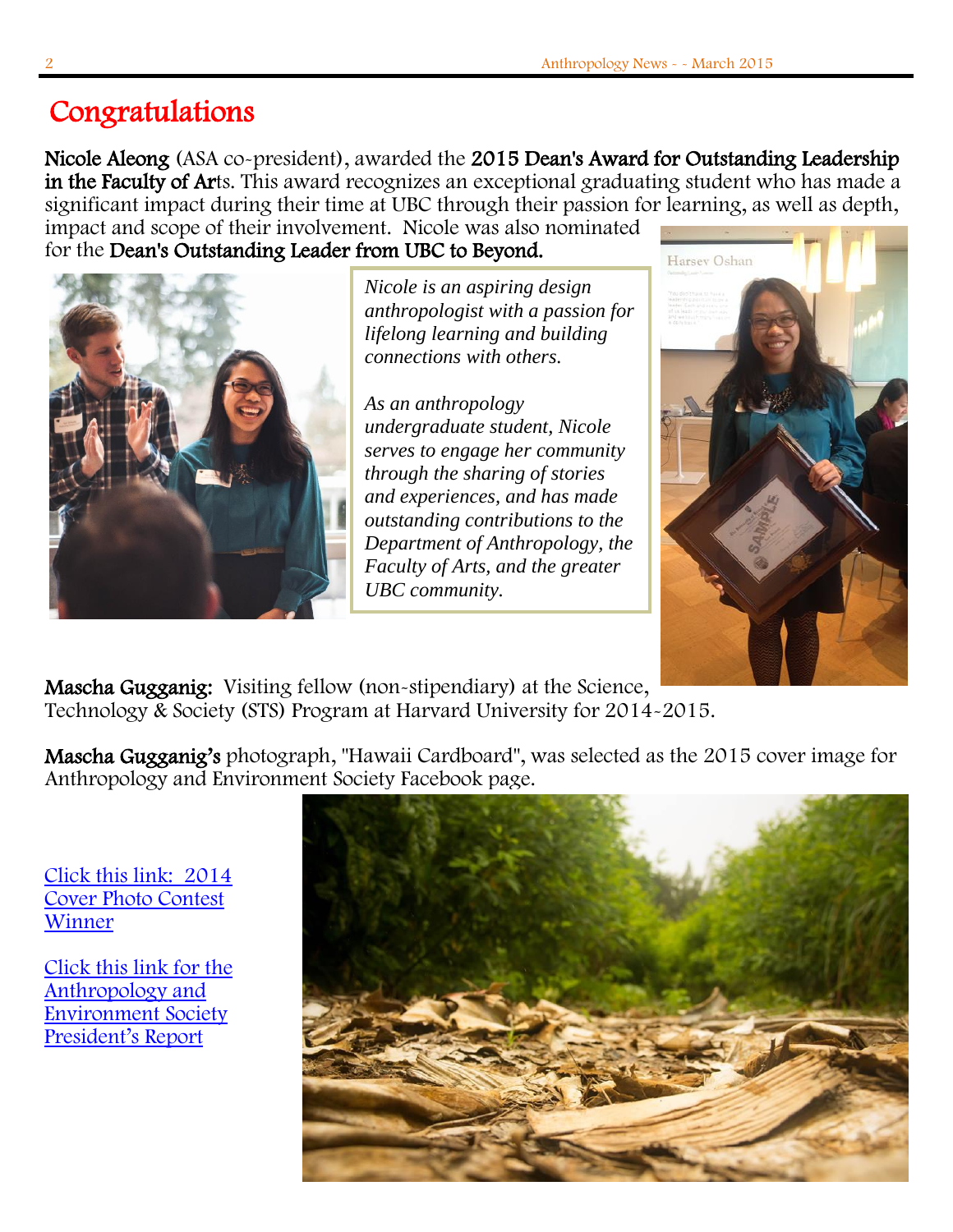## ٦ Congratulations

Nicole Aleong (ASA co-president), awarded the 2015 Dean's Award for Outstanding Leadership in the Faculty of Arts. This award recognizes an exceptional graduating student who has made a significant impact during their time at UBC through their passion for learning, as well as depth, impact and scope of their involvement. Nicole was also nominated

for the Dean's Outstanding Leader from UBC to Beyond.



*Nicole is an aspiring design anthropologist with a passion for lifelong learning and building connections with others.*

*As an anthropology undergraduate student, Nicole serves to engage her community through the sharing of stories and experiences, and has made outstanding contributions to the Department of Anthropology, the Faculty of Arts, and the greater UBC community.*



Mascha Gugganig: Visiting fellow (non-stipendiary) at the Science, Technology & Society (STS) Program at Harvard University for 2014-2015.

Mascha Gugganig's photograph, "Hawaii Cardboard", was selected as the 2015 cover image for Anthropology and Environment Society Facebook page.

 [Click this link: 2014](https://www.facebook.com/127205994087700/photos/a.129975720477394.27282.127205994087700/490263277781968/?type=1&theater)  [Cover Photo Contest](https://www.facebook.com/127205994087700/photos/a.129975720477394.27282.127205994087700/490263277781968/?type=1&theater)  [Winner](https://www.facebook.com/127205994087700/photos/a.129975720477394.27282.127205994087700/490263277781968/?type=1&theater)  ٦

 [Click this link for the](http://www.anthropology-news.org/index.php/2015/02/02/anthropology-and-environment-society-presidents-report/)  [Anthropology and](http://www.anthropology-news.org/index.php/2015/02/02/anthropology-and-environment-society-presidents-report/)  [Environment Society](http://www.anthropology-news.org/index.php/2015/02/02/anthropology-and-environment-society-presidents-report/)  [President's Report](http://www.anthropology-news.org/index.php/2015/02/02/anthropology-and-environment-society-presidents-report/) ٦

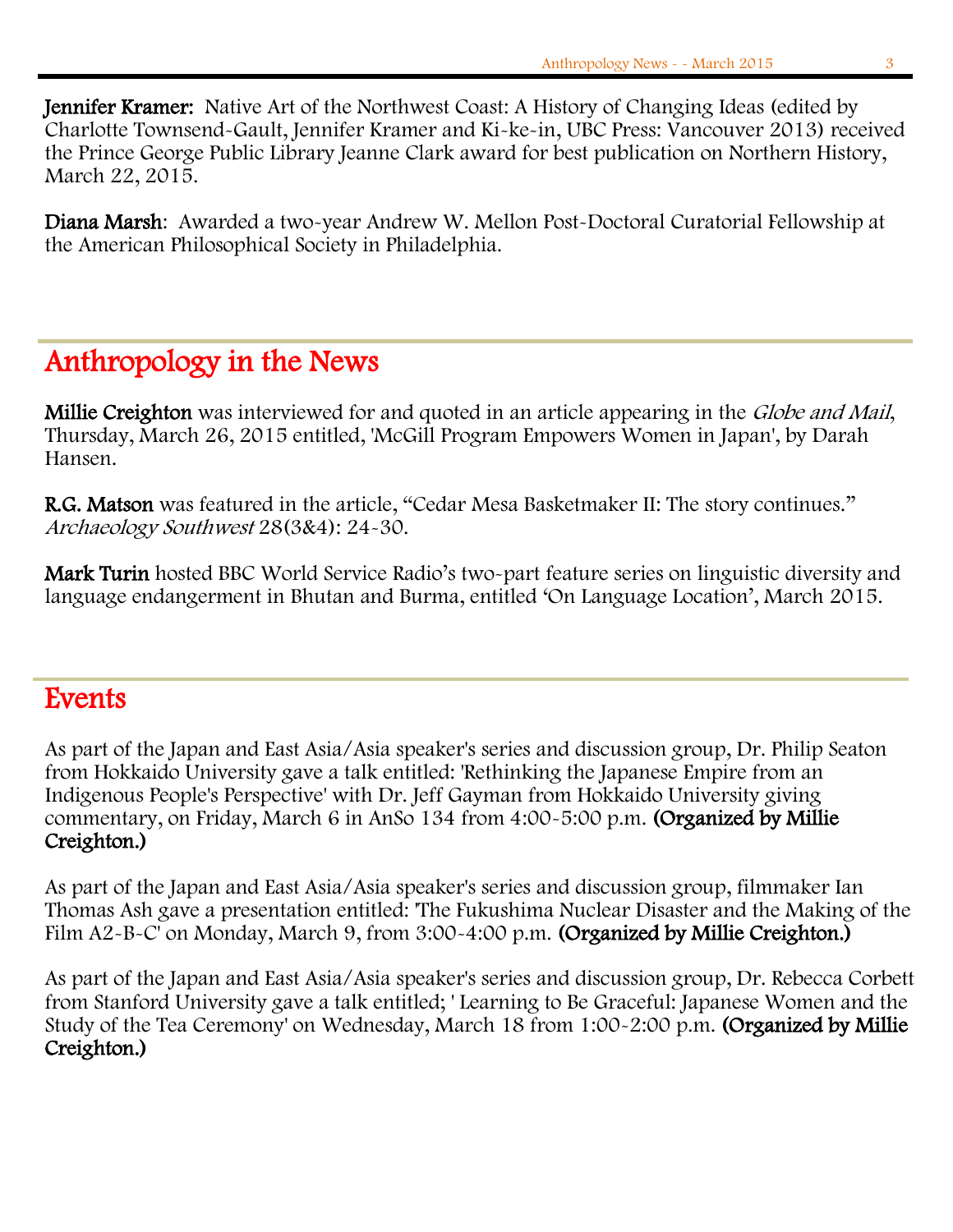٦ Jennifer Kramer: Native Art of the Northwest Coast: A History of Changing Ideas (edited by Charlotte Townsend-Gault, Jennifer Kramer and Ki-ke-in, UBC Press: Vancouver 2013) received the Prince George Public Library Jeanne Clark award for best publication on Northern History, March 22, 2015.

Diana Marsh: Awarded a two-year Andrew W. Mellon Post-Doctoral Curatorial Fellowship at the American Philosophical Society in Philadelphia.

## Anthropology in the News

Millie Creighton was interviewed for and quoted in an article appearing in the Globe and Mail, Thursday, March 26, 2015 entitled, 'McGill Program Empowers Women in Japan', by Darah Hansen.

R.G. Matson was featured in the article, "Cedar Mesa Basketmaker II: The story continues." Archaeology Southwest 28(3&4): 24-30.

Mark Turin hosted BBC World Service Radio's two-part feature series on linguistic diversity and language endangerment in Bhutan and Burma, entitled 'On Language Location', March 2015.

# **Events**

As part of the Japan and East Asia/Asia speaker's series and discussion group, Dr. Philip Seaton from Hokkaido University gave a talk entitled: 'Rethinking the Japanese Empire from an Indigenous People's Perspective' with Dr. Jeff Gayman from Hokkaido University giving commentary, on Friday, March 6 in AnSo 134 from 4:00-5:00 p.m. (Organized by Millie Creighton.)

As part of the Japan and East Asia/Asia speaker's series and discussion group, filmmaker Ian Thomas Ash gave a presentation entitled: 'The Fukushima Nuclear Disaster and the Making of the Film A2-B-C' on Monday, March 9, from 3:00-4:00 p.m. (Organized by Millie Creighton.)

As part of the Japan and East Asia/Asia speaker's series and discussion group, Dr. Rebecca Corbett from Stanford University gave a talk entitled; ' Learning to Be Graceful: Japanese Women and the Study of the Tea Ceremony' on Wednesday, March 18 from 1:00-2:00 p.m. (Organized by Millie Creighton.)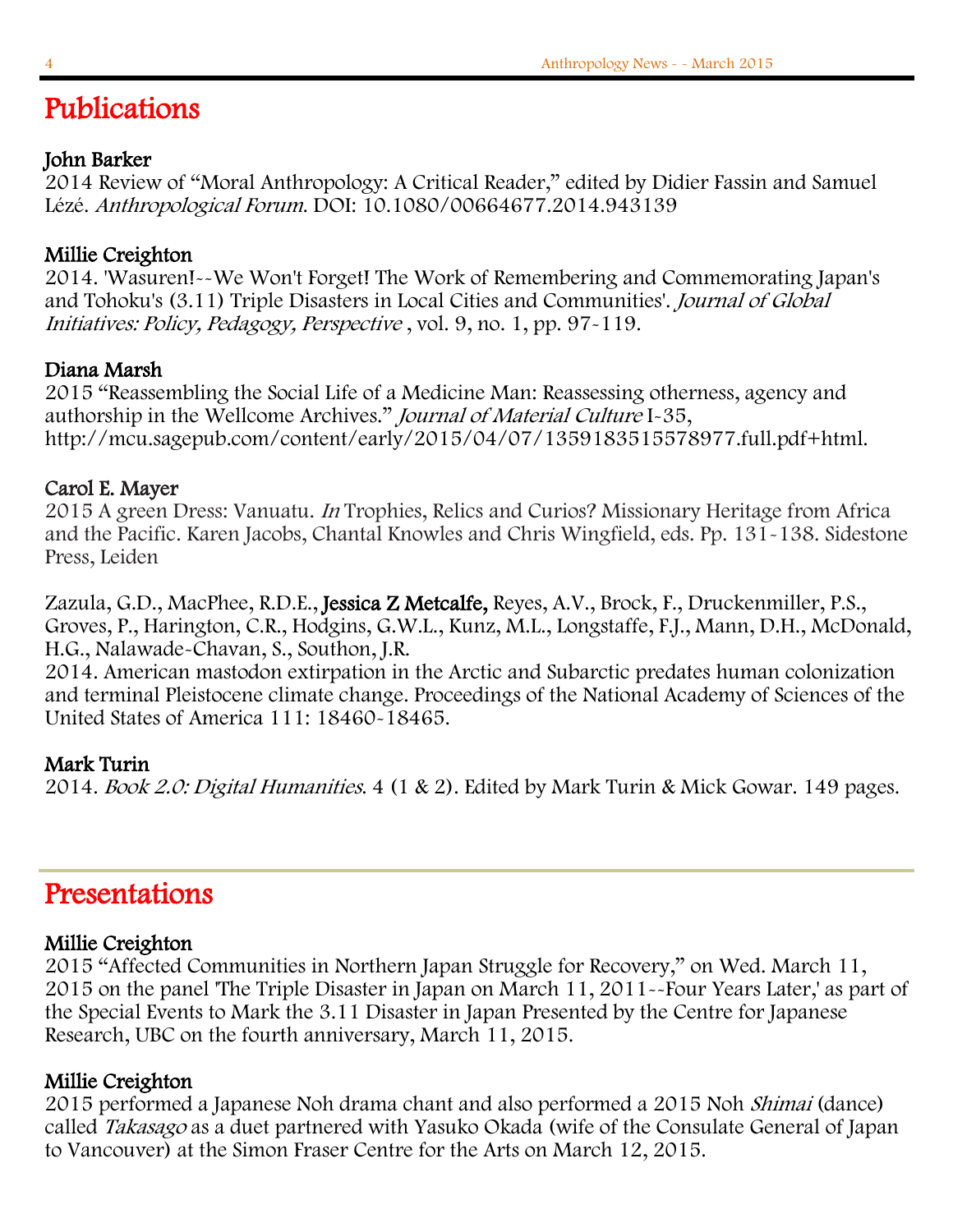## I Publications

## John Barker

2014 Review of "Moral Anthropology: A Critical Reader," edited by Didier Fassin and Samuel Lézé. Anthropological Forum. DOI: 10.1080/00664677.2014.943139

## Millie Creighton

2014. 'Wasuren!--We Won't Forget! The Work of Remembering and Commemorating Japan's and Tohoku's (3.11) Triple Disasters in Local Cities and Communities'. Journal of Global Initiatives: Policy, Pedagogy, Perspective , vol. 9, no. 1, pp. 97-119.

## Diana Marsh

2015 "Reassembling the Social Life of a Medicine Man: Reassessing otherness, agency and authorship in the Wellcome Archives." Journal of Material Culture I-35, http://mcu.sagepub.com/content/early/2015/04/07/1359183515578977.full.pdf+html.

## Carol E. Mayer

2015 A green Dress: Vanuatu. In Trophies, Relics and Curios? Missionary Heritage from Africa and the Pacific. Karen Jacobs, Chantal Knowles and Chris Wingfield, eds. Pp. 131-138. Sidestone Press, Leiden

Zazula, G.D., MacPhee, R.D.E., Jessica Z Metcalfe, Reyes, A.V., Brock, F., Druckenmiller, P.S., Groves, P., Harington, C.R., Hodgins, G.W.L., Kunz, M.L., Longstaffe, F.J., Mann, D.H., McDonald, H.G., Nalawade-Chavan, S., Southon, J.R.

2014. American mastodon extirpation in the Arctic and Subarctic predates human colonization and terminal Pleistocene climate change. Proceedings of the National Academy of Sciences of the United States of America 111: 18460-18465.

## Mark Turin

2014. Book 2.0: Digital Humanities. 4 (1 & 2). Edited by Mark Turin & Mick Gowar. 149 pages.

# Presentations

#### Millie Creighton

2015 "Affected Communities in Northern Japan Struggle for Recovery," on Wed. March 11, 2015 on the panel 'The Triple Disaster in Japan on March 11, 2011--Four Years Later,' as part of the Special Events to Mark the 3.11 Disaster in Japan Presented by the Centre for Japanese Research, UBC on the fourth anniversary, March 11, 2015.

## Millie Creighton

2015 performed a Japanese Noh drama chant and also performed a 2015 Noh Shimai (dance) called Takasago as a duet partnered with Yasuko Okada (wife of the Consulate General of Japan to Vancouver) at the Simon Fraser Centre for the Arts on March 12, 2015.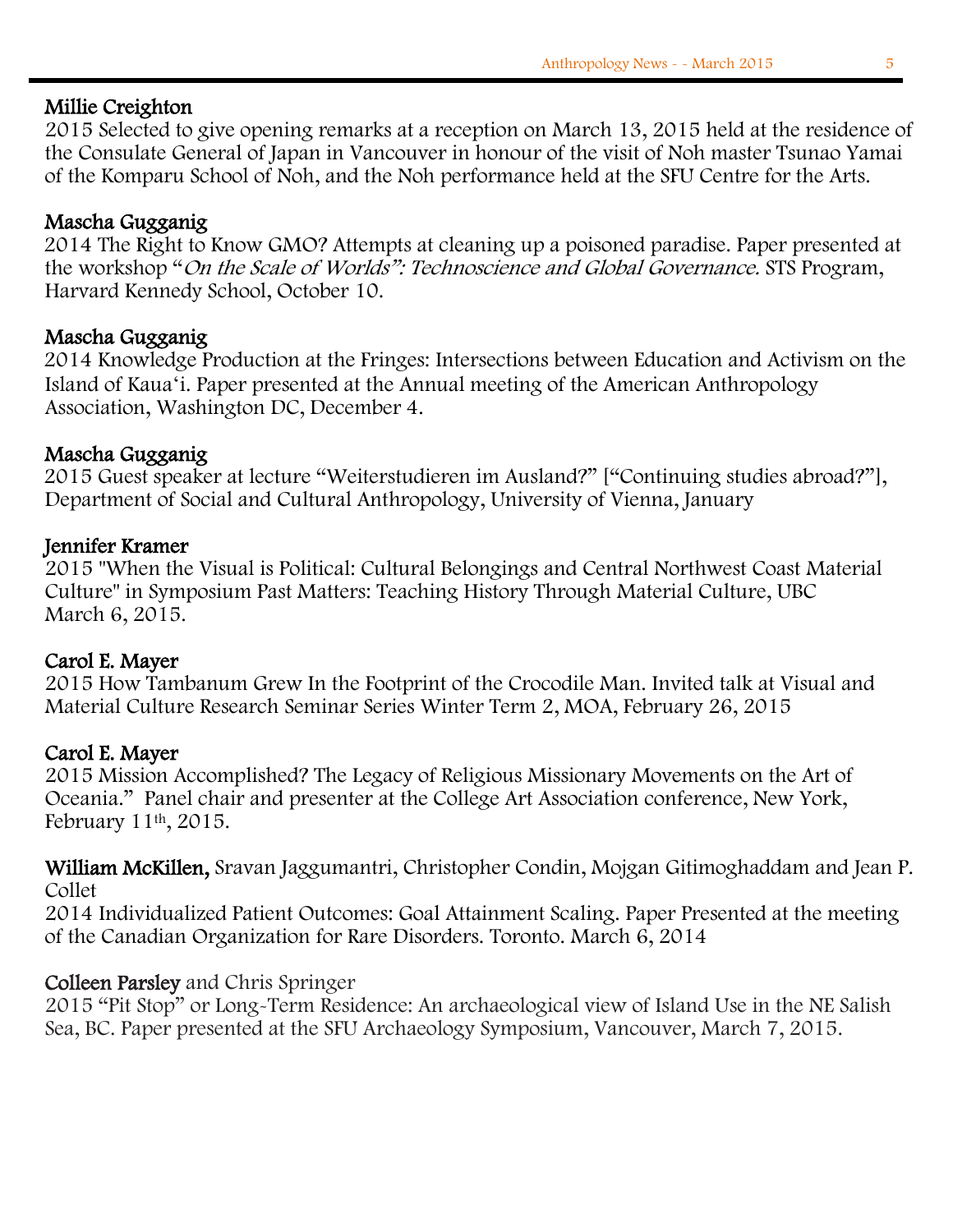#### Millie Creighton

2015 Selected to give opening remarks at a reception on March 13, 2015 held at the residence of the Consulate General of Japan in Vancouver in honour of the visit of Noh master Tsunao Yamai of the Komparu School of Noh, and the Noh performance held at the SFU Centre for the Arts.

## Mascha Gugganig

 2014 The Right to Know GMO? Attempts at cleaning up a poisoned paradise. Paper presented at the workshop "On the Scale of Worlds": Technoscience and Global Governance. STS Program, Harvard Kennedy School, October 10.

#### Mascha Gugganig

 2014 Knowledge Production at the Fringes: Intersections between Education and Activism on the Island of Kauaʻi. Paper presented at the Annual meeting of the American Anthropology Association, Washington DC, December 4.

#### Mascha Gugganig

 2015 Guest speaker at lecture "Weiterstudieren im Ausland?" ["Continuing studies abroad?"], Department of Social and Cultural Anthropology, University of Vienna, January

#### Jennifer Kramer

2015 "When the Visual is Political: Cultural Belongings and Central Northwest Coast Material Culture" in Symposium Past Matters: Teaching History Through Material Culture, UBC March 6, 2015.

#### Carol E. Mayer

2015 How Tambanum Grew In the Footprint of the Crocodile Man. Invited talk at Visual and Material Culture Research Seminar Series Winter Term 2, MOA, February 26, 2015

#### Carol E. Mayer

2015 Mission Accomplished? The Legacy of Religious Missionary Movements on the Art of Oceania." Panel chair and presenter at the College Art Association conference, New York, February 11th, 2015.

William McKillen, Sravan Jaggumantri, Christopher Condin, Mojgan Gitimoghaddam and Jean P. Collet

 2014 Individualized Patient Outcomes: Goal Attainment Scaling. Paper Presented at the meeting of the Canadian Organization for Rare Disorders. Toronto. March 6, 2014

#### Colleen Parsley and Chris Springer

2015 "Pit Stop" or Long-Term Residence: An archaeological view of Island Use in the NE Salish Sea, BC. Paper presented at the SFU Archaeology Symposium, Vancouver, March 7, 2015.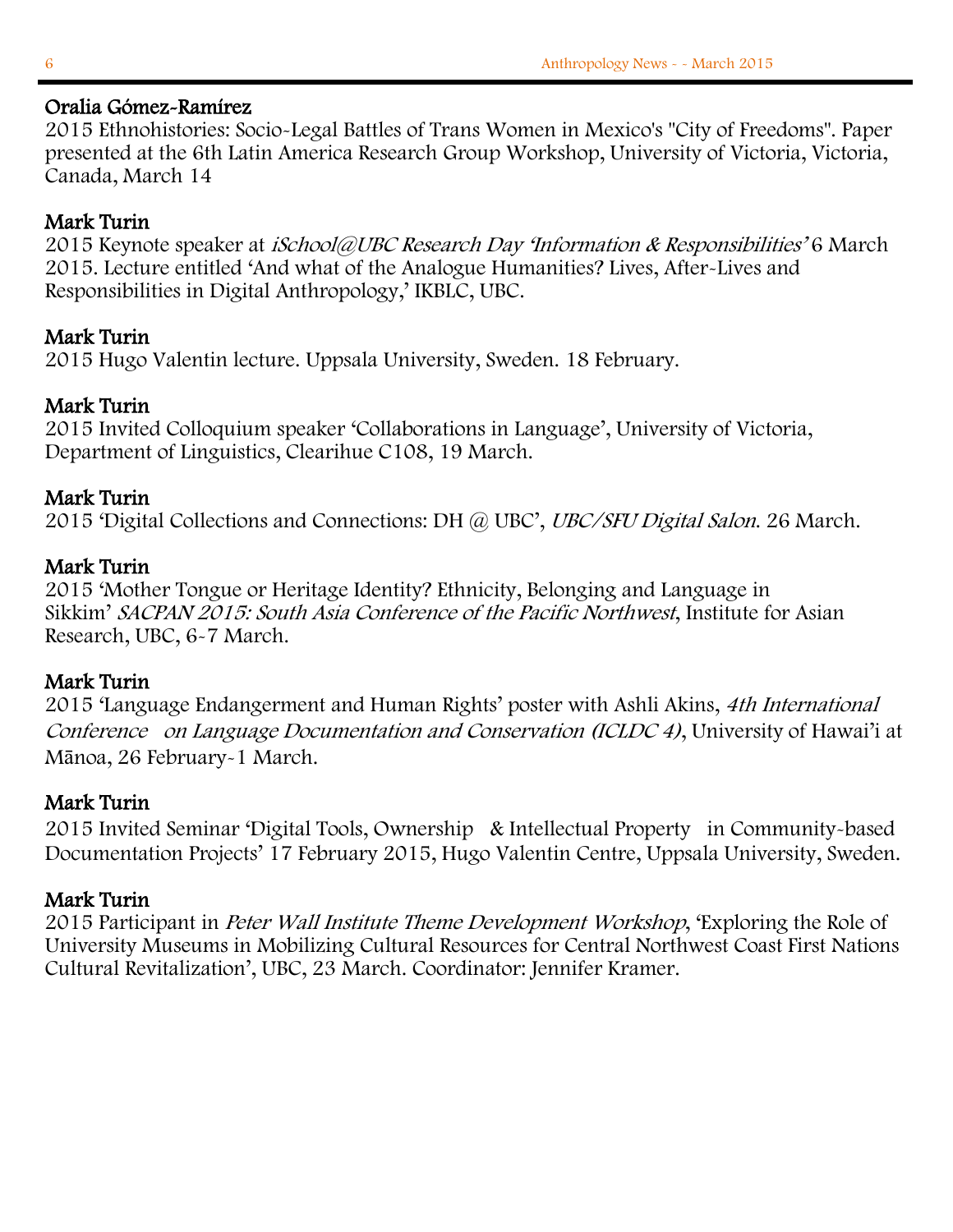#### Oralia Gómez-Ramírez

2015 Ethnohistories: Socio-Legal Battles of Trans Women in Mexico's "City of Freedoms". Paper presented at the 6th Latin America Research Group Workshop, University of Victoria, Victoria, Canada, March 14

## Mark Turin

2015 Keynote speaker at *iSchool@UBC Research Day 'Information & Responsibilities'* 6 March 2015. Lecture entitled 'And what of the Analogue Humanities? Lives, After-Lives and Responsibilities in Digital Anthropology,' IKBLC, UBC.

## Mark Turin

2015 Hugo Valentin lecture. Uppsala University, Sweden. 18 February.

## Mark Turin

2015 Invited Colloquium speaker 'Collaborations in Language', University of Victoria, Department of Linguistics, Clearihue C108, 19 March.

## Mark Turin

2015 'Digital Collections and Connections: DH @ UBC', UBC/SFU Digital Salon. 26 March.

## Mark Turin

2015 'Mother Tongue or Heritage Identity? Ethnicity, Belonging and Language in Sikkim' SACPAN 2015: South Asia Conference of the Pacific Northwest, Institute for Asian Research, UBC, 6-7 March.

## Mark Turin

2015 'Language Endangerment and Human Rights' poster with Ashli Akins, 4th International Conference on Language Documentation and Conservation (ICLDC 4), University of Hawai'i at Mānoa, 26 February-1 March.

## Mark Turin

2015 Invited Seminar 'Digital Tools, Ownership & Intellectual Property in Community-based Documentation Projects' 17 February 2015, Hugo Valentin Centre, Uppsala University, Sweden.

## Mark Turin

2015 Participant in Peter Wall Institute Theme Development Workshop, 'Exploring the Role of University Museums in Mobilizing Cultural Resources for Central Northwest Coast First Nations Cultural Revitalization', UBC, 23 March. Coordinator: Jennifer Kramer.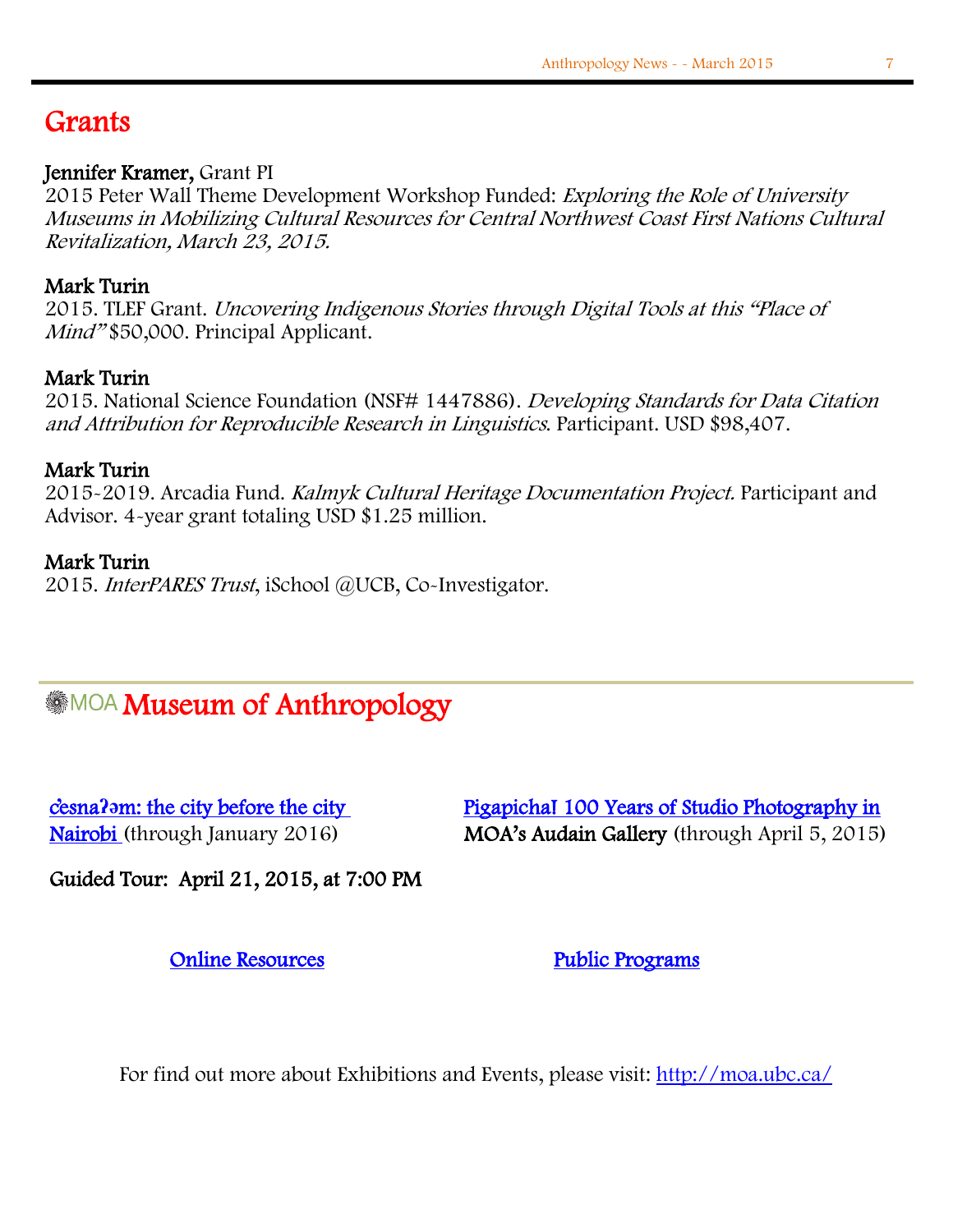# **Grants**

I

#### Jennifer Kramer, Grant PI

2015 Peter Wall Theme Development Workshop Funded: Exploring the Role of University Museums in Mobilizing Cultural Resources for Central Northwest Coast First Nations Cultural Revitalization, March 23, 2015.

#### Mark Turin

2015. TLEF Grant. Uncovering Indigenous Stories through Digital Tools at this "Place of Mind" \$50,000. Principal Applicant.

#### Mark Turin

2015. National Science Foundation (NSF# 1447886). Developing Standards for Data Citation and Attribution for Reproducible Research in Linguistics. Participant. USD \$98,407.

#### Mark Turin

2015-2019. Arcadia Fund. Kalmyk Cultural Heritage Documentation Project. Participant and Advisor. 4-year grant totaling USD \$1.25 million.

#### Mark Turin

2015. InterPARES Trust, iSchool @UCB, Co-Investigator.

## $\overline{a}$ **MOA Museum of Anthropology**

**c**'esna?>[m: the city before the city](http://moa.ubc.ca/portfolio_page/citybeforecity/) Pigapicha! 100 Years of Studio Photography in [Nairobi \(](http://moa.ubc.ca/portfolio_page/pigapicha/)through January 2016) MOA's Audain Gallery (through April 5, 2015)

Guided Tour: April 21, 2015, at 7:00 PM

**Online Resources** Public Programs

For find out more about Exhibitions and Events, please visit:<http://moa.ubc.ca/>